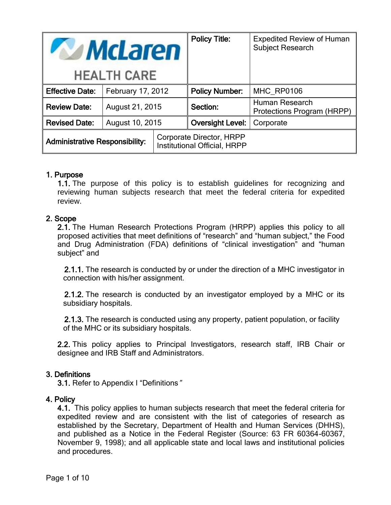| <b>McLaren</b>                        |                   |  | <b>Policy Title:</b>                                     | <b>Expedited Review of Human</b><br><b>Subject Research</b> |
|---------------------------------------|-------------------|--|----------------------------------------------------------|-------------------------------------------------------------|
| <b>HEALTH CARE</b>                    |                   |  |                                                          |                                                             |
| <b>Effective Date:</b>                | February 17, 2012 |  | <b>Policy Number:</b>                                    | MHC RP0106                                                  |
| <b>Review Date:</b>                   | August 21, 2015   |  | Section:                                                 | Human Research<br>Protections Program (HRPP)                |
| <b>Revised Date:</b>                  | August 10, 2015   |  | <b>Oversight Level:</b>                                  | Corporate                                                   |
| <b>Administrative Responsibility:</b> |                   |  | Corporate Director, HRPP<br>Institutional Official, HRPP |                                                             |

### 1. Purpose

1.1. The purpose of this policy is to establish guidelines for recognizing and reviewing human subjects research that meet the federal criteria for expedited review.

### 2. Scope

2.1. The Human Research Protections Program (HRPP) applies this policy to all proposed activities that meet definitions of "research" and "human subject," the Food and Drug Administration (FDA) definitions of "clinical investigation" and "human subject" and

2.1.1. The research is conducted by or under the direction of a MHC investigator in connection with his/her assignment.

2.1.2. The research is conducted by an investigator employed by a MHC or its subsidiary hospitals.

2.1.3. The research is conducted using any property, patient population, or facility of the MHC or its subsidiary hospitals.

2.2. This policy applies to Principal Investigators, research staff, IRB Chair or designee and IRB Staff and Administrators.

### 3. Definitions

3.1. Refer to Appendix I "Definitions"

### 4. Policy

4.1. This policy applies to human subjects research that meet the federal criteria for expedited review and are consistent with the list of categories of research as established by the Secretary, Department of Health and Human Services (DHHS), and published as a Notice in the Federal Register (Source: 63 FR 60364-60367, November 9, 1998); and all applicable state and local laws and institutional policies and procedures.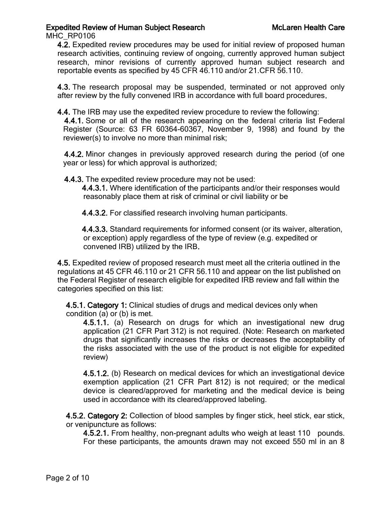MHC\_RP0106

4.2. Expedited review procedures may be used for initial review of proposed human research activities, continuing review of ongoing, currently approved human subject research, minor revisions of currently approved human subject research and reportable events as specified by 45 CFR 46.110 and/or 21.CFR 56.110.

4.3. The research proposal may be suspended, terminated or not approved only after review by the fully convened IRB in accordance with full board procedures.

4.4. The IRB may use the expedited review procedure to review the following:

4.4.1. Some or all of the research appearing on the federal criteria list Federal Register (Source: 63 FR 60364-60367, November 9, 1998) and found by the reviewer(s) to involve no more than minimal risk;

4.4.2. Minor changes in previously approved research during the period (of one year or less) for which approval is authorized;

4.4.3. The expedited review procedure may not be used:

4.4.3.1. Where identification of the participants and/or their responses would reasonably place them at risk of criminal or civil liability or be

4.4.3.2. For classified research involving human participants.

4.4.3.3. Standard requirements for informed consent (or its waiver, alteration, or exception) apply regardless of the type of review (e.g. expedited or convened IRB) utilized by the IRB.

4.5. Expedited review of proposed research must meet all the criteria outlined in the regulations at 45 CFR 46.110 or 21 CFR 56.110 and appear on the list published on the Federal Register of research eligible for expedited IRB review and fall within the categories specified on this list:

4.5.1. Category 1: Clinical studies of drugs and medical devices only when condition (a) or (b) is met.

4.5.1.1. (a) Research on drugs for which an investigational new drug application (21 CFR Part 312) is not required. (Note: Research on marketed drugs that significantly increases the risks or decreases the acceptability of the risks associated with the use of the product is not eligible for expedited review)

4.5.1.2. (b) Research on medical devices for which an investigational device exemption application (21 CFR Part 812) is not required; or the medical device is cleared/approved for marketing and the medical device is being used in accordance with its cleared/approved labeling.

4.5.2. Category 2: Collection of blood samples by finger stick, heel stick, ear stick, or venipuncture as follows:

4.5.2.1. From healthy, non-pregnant adults who weigh at least 110 pounds. For these participants, the amounts drawn may not exceed 550 ml in an 8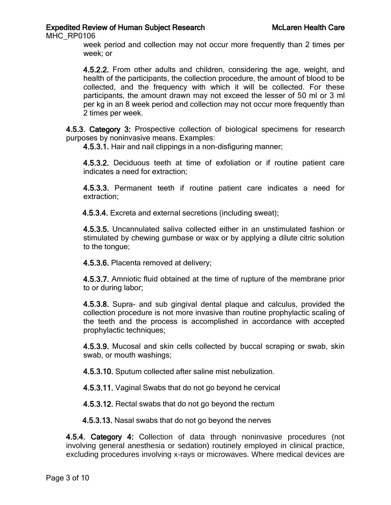MHC\_RP0106

week period and collection may not occur more frequently than 2 times per week; or

4.5.2.2. From other adults and children, considering the age, weight, and health of the participants, the collection procedure, the amount of blood to be collected, and the frequency with which it will be collected. For these participants, the amount drawn may not exceed the lesser of 50 ml or 3 ml per kg in an 8 week period and collection may not occur more frequently than 2 times per week.

4.5.3. Category 3: Prospective collection of biological specimens for research purposes by noninvasive means. Examples:

4.5.3.1. Hair and nail clippings in a non-disfiguring manner;

4.5.3.2. Deciduous teeth at time of exfoliation or if routine patient care indicates a need for extraction;

4.5.3.3. Permanent teeth if routine patient care indicates a need for extraction;

4.5.3.4. Excreta and external secretions (including sweat);

4.5.3.5. Uncannulated saliva collected either in an unstimulated fashion or stimulated by chewing gumbase or wax or by applying a dilute citric solution to the tongue;

4.5.3.6. Placenta removed at delivery;

4.5.3.7. Amniotic fluid obtained at the time of rupture of the membrane prior to or during labor;

4.5.3.8. Supra- and sub gingival dental plaque and calculus, provided the collection procedure is not more invasive than routine prophylactic scaling of the teeth and the process is accomplished in accordance with accepted prophylactic techniques;

4.5.3.9. Mucosal and skin cells collected by buccal scraping or swab, skin swab, or mouth washings;

4.5.3.10. Sputum collected after saline mist nebulization.

4.5.3.11. Vaginal Swabs that do not go beyond he cervical

4.5.3.12. Rectal swabs that do not go beyond the rectum

4.5.3.13. Nasal swabs that do not go beyond the nerves

4.5.4. Category 4: Collection of data through noninvasive procedures (not involving general anesthesia or sedation) routinely employed in clinical practice, excluding procedures involving x-rays or microwaves. Where medical devices are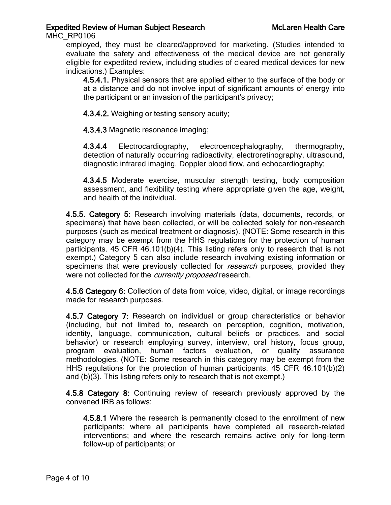MHC\_RP0106

employed, they must be cleared/approved for marketing. (Studies intended to evaluate the safety and effectiveness of the medical device are not generally eligible for expedited review, including studies of cleared medical devices for new indications.) Examples:

4.5.4.1. Physical sensors that are applied either to the surface of the body or at a distance and do not involve input of significant amounts of energy into the participant or an invasion of the participant's privacy;

4.3.4.2. Weighing or testing sensory acuity;

4.3.4.3 Magnetic resonance imaging;

4.3.4.4 Electrocardiography, electroencephalography, thermography, detection of naturally occurring radioactivity, electroretinography, ultrasound, diagnostic infrared imaging, Doppler blood flow, and echocardiography;

4.3.4.5 Moderate exercise, muscular strength testing, body composition assessment, and flexibility testing where appropriate given the age, weight, and health of the individual.

4.5.5. Category 5: Research involving materials (data, documents, records, or specimens) that have been collected, or will be collected solely for non-research purposes (such as medical treatment or diagnosis). (NOTE: Some research in this category may be exempt from the HHS regulations for the protection of human participants. 45 CFR 46.101(b)(4). This listing refers only to research that is not exempt.) Category 5 can also include research involving existing information or specimens that were previously collected for *research* purposes, provided they were not collected for the *currently proposed* research.

4.5.6 Category 6: Collection of data from voice, video, digital, or image recordings made for research purposes.

4.5.7 Category 7: Research on individual or group characteristics or behavior (including, but not limited to, research on perception, cognition, motivation, identity, language, communication, cultural beliefs or practices, and social behavior) or research employing survey, interview, oral history, focus group, program evaluation, human factors evaluation, or quality assurance methodologies. (NOTE: Some research in this category may be exempt from the HHS regulations for the protection of human participants. 45 CFR 46.101(b)(2) and (b)(3). This listing refers only to research that is not exempt.)

4.5.8 Category 8: Continuing review of research previously approved by the convened IRB as follows:

4.5.8.1 Where the research is permanently closed to the enrollment of new participants; where all participants have completed all research-related interventions; and where the research remains active only for long-term follow-up of participants; or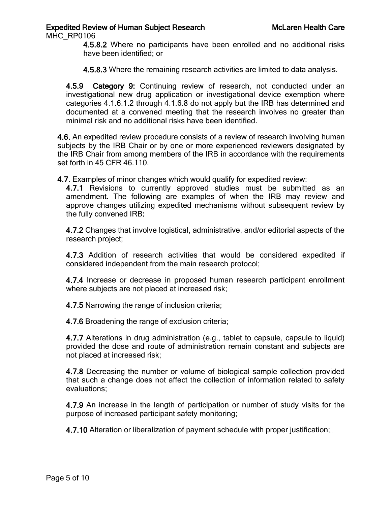MHC\_RP0106

4.5.8.2 Where no participants have been enrolled and no additional risks have been identified; or

4.5.8.3 Where the remaining research activities are limited to data analysis.

4.5.9 Category 9: Continuing review of research, not conducted under an investigational new drug application or investigational device exemption where categories 4.1.6.1.2 through 4.1.6.8 do not apply but the IRB has determined and documented at a convened meeting that the research involves no greater than minimal risk and no additional risks have been identified.

4.6. An expedited review procedure consists of a review of research involving human subjects by the IRB Chair or by one or more experienced reviewers designated by the IRB Chair from among members of the IRB in accordance with the requirements set forth in 45 CFR 46.110.

4.7. Examples of minor changes which would qualify for expedited review:

4.7.1 Revisions to currently approved studies must be submitted as an amendment. The following are examples of when the IRB may review and approve changes utilizing expedited mechanisms without subsequent review by the fully convened IRB:

4.7.2 Changes that involve logistical, administrative, and/or editorial aspects of the research project;

4.7.3 Addition of research activities that would be considered expedited if considered independent from the main research protocol;

4.7.4 Increase or decrease in proposed human research participant enrollment where subjects are not placed at increased risk;

4.7.5 Narrowing the range of inclusion criteria;

4.7.6 Broadening the range of exclusion criteria;

4.7.7 Alterations in drug administration (e.g., tablet to capsule, capsule to liquid) provided the dose and route of administration remain constant and subjects are not placed at increased risk;

4.7.8 Decreasing the number or volume of biological sample collection provided that such a change does not affect the collection of information related to safety evaluations;

4.7.9 An increase in the length of participation or number of study visits for the purpose of increased participant safety monitoring;

4.7.10 Alteration or liberalization of payment schedule with proper justification;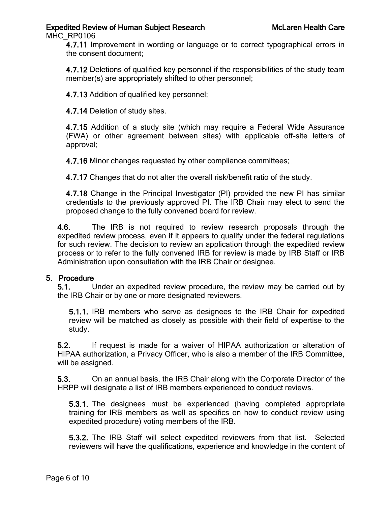MHC\_RP0106

4.7.11 Improvement in wording or language or to correct typographical errors in the consent document;

4.7.12 Deletions of qualified key personnel if the responsibilities of the study team member(s) are appropriately shifted to other personnel;

4.7.13 Addition of qualified key personnel;

4.7.14 Deletion of study sites.

4.7.15 Addition of a study site (which may require a Federal Wide Assurance (FWA) or other agreement between sites) with applicable off-site letters of approval;

4.7.16 Minor changes requested by other compliance committees;

4.7.17 Changes that do not alter the overall risk/benefit ratio of the study.

4.7.18 Change in the Principal Investigator (PI) provided the new PI has similar credentials to the previously approved PI. The IRB Chair may elect to send the proposed change to the fully convened board for review.

4.6. The IRB is not required to review research proposals through the expedited review process, even if it appears to qualify under the federal regulations for such review. The decision to review an application through the expedited review process or to refer to the fully convened IRB for review is made by IRB Staff or IRB Administration upon consultation with the IRB Chair or designee.

### 5. Procedure

5.1. Under an expedited review procedure, the review may be carried out by the IRB Chair or by one or more designated reviewers.

5.1.1. IRB members who serve as designees to the IRB Chair for expedited review will be matched as closely as possible with their field of expertise to the study.

5.2. If request is made for a waiver of HIPAA authorization or alteration of HIPAA authorization, a Privacy Officer, who is also a member of the IRB Committee, will be assigned.

5.3. On an annual basis, the IRB Chair along with the Corporate Director of the HRPP will designate a list of IRB members experienced to conduct reviews.

5.3.1. The designees must be experienced (having completed appropriate training for IRB members as well as specifics on how to conduct review using expedited procedure) voting members of the IRB.

5.3.2. The IRB Staff will select expedited reviewers from that list. Selected reviewers will have the qualifications, experience and knowledge in the content of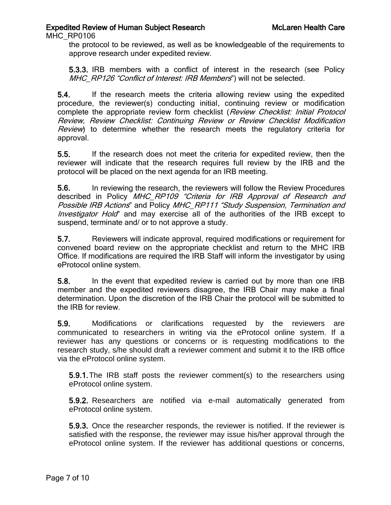MHC\_RP0106

the protocol to be reviewed, as well as be knowledgeable of the requirements to approve research under expedited review.

5.3.3. IRB members with a conflict of interest in the research (see Policy MHC\_RP126 "Conflict of Interest: IRB Members") will not be selected.

5.4. If the research meets the criteria allowing review using the expedited procedure, the reviewer(s) conducting initial, continuing review or modification complete the appropriate review form checklist (Review Checklist: Initial Protocol Review, Review Checklist: Continuing Review or Review Checklist Modification Review) to determine whether the research meets the regulatory criteria for approval.

5.5. If the research does not meet the criteria for expedited review, then the reviewer will indicate that the research requires full review by the IRB and the protocol will be placed on the next agenda for an IRB meeting.

5.6. In reviewing the research, the reviewers will follow the Review Procedures described in Policy MHC RP109 "Criteria for IRB Approval of Research and Possible IRB Actions" and Policy MHC\_RP111 "Study Suspension, Termination and Investigator Hold" and may exercise all of the authorities of the IRB except to suspend, terminate and/ or to not approve a study.

5.7. Reviewers will indicate approval, required modifications or requirement for convened board review on the appropriate checklist and return to the MHC IRB Office. If modifications are required the IRB Staff will inform the investigator by using eProtocol online system.

5.8. In the event that expedited review is carried out by more than one IRB member and the expedited reviewers disagree, the IRB Chair may make a final determination. Upon the discretion of the IRB Chair the protocol will be submitted to the IRB for review.

5.9. Modifications or clarifications requested by the reviewers are communicated to researchers in writing via the eProtocol online system. If a reviewer has any questions or concerns or is requesting modifications to the research study, s/he should draft a reviewer comment and submit it to the IRB office via the eProtocol online system.

5.9.1.The IRB staff posts the reviewer comment(s) to the researchers using eProtocol online system.

5.9.2. Researchers are notified via e-mail automatically generated from eProtocol online system.

5.9.3. Once the researcher responds, the reviewer is notified. If the reviewer is satisfied with the response, the reviewer may issue his/her approval through the eProtocol online system. If the reviewer has additional questions or concerns,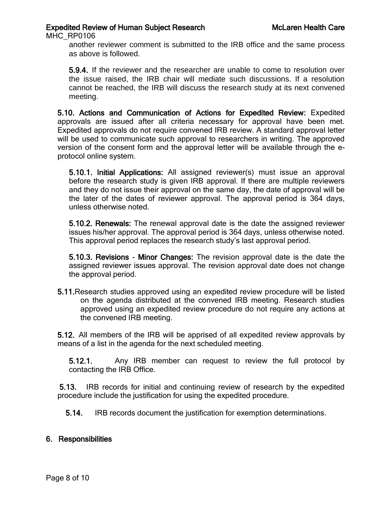MHC\_RP0106

another reviewer comment is submitted to the IRB office and the same process as above is followed.

5.9.4. If the reviewer and the researcher are unable to come to resolution over the issue raised, the IRB chair will mediate such discussions. If a resolution cannot be reached, the IRB will discuss the research study at its next convened meeting.

5.10. Actions and Communication of Actions for Expedited Review: Expedited approvals are issued after all criteria necessary for approval have been met. Expedited approvals do not require convened IRB review. A standard approval letter will be used to communicate such approval to researchers in writing. The approved version of the consent form and the approval letter will be available through the eprotocol online system.

5.10.1. Initial Applications: All assigned reviewer(s) must issue an approval before the research study is given IRB approval. If there are multiple reviewers and they do not issue their approval on the same day, the date of approval will be the later of the dates of reviewer approval. The approval period is 364 days, unless otherwise noted.

5.10.2. Renewals: The renewal approval date is the date the assigned reviewer issues his/her approval. The approval period is 364 days, unless otherwise noted. This approval period replaces the research study's last approval period.

5.10.3. Revisions - Minor Changes: The revision approval date is the date the assigned reviewer issues approval. The revision approval date does not change the approval period.

5.11.Research studies approved using an expedited review procedure will be listed on the agenda distributed at the convened IRB meeting. Research studies approved using an expedited review procedure do not require any actions at the convened IRB meeting.

5.12. All members of the IRB will be apprised of all expedited review approvals by means of a list in the agenda for the next scheduled meeting.

5.12.1. Any IRB member can request to review the full protocol by contacting the IRB Office.

5.13. IRB records for initial and continuing review of research by the expedited procedure include the justification for using the expedited procedure.

5.14. IRB records document the justification for exemption determinations.

# 6. Responsibilities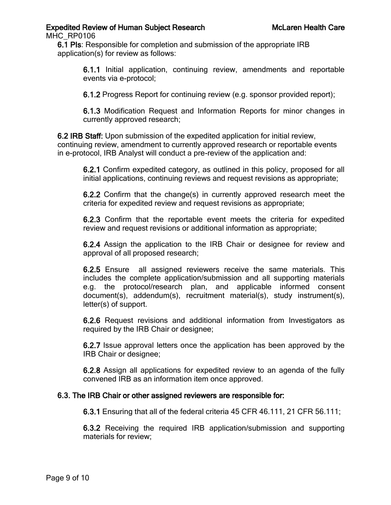MHC\_RP0106

6.1 PIs: Responsible for completion and submission of the appropriate IRB application(s) for review as follows:

6.1.1 Initial application, continuing review, amendments and reportable events via e-protocol;

6.1.2 Progress Report for continuing review (e.g. sponsor provided report);

6.1.3 Modification Request and Information Reports for minor changes in currently approved research;

6.2 IRB Staff: Upon submission of the expedited application for initial review, continuing review, amendment to currently approved research or reportable events in e-protocol, IRB Analyst will conduct a pre-review of the application and:

6.2.1 Confirm expedited category, as outlined in this policy, proposed for all initial applications, continuing reviews and request revisions as appropriate;

6.2.2 Confirm that the change(s) in currently approved research meet the criteria for expedited review and request revisions as appropriate;

6.2.3 Confirm that the reportable event meets the criteria for expedited review and request revisions or additional information as appropriate;

6.2.4 Assign the application to the IRB Chair or designee for review and approval of all proposed research;

6.2.5 Ensure all assigned reviewers receive the same materials. This includes the complete application/submission and all supporting materials e.g. the protocol/research plan, and applicable informed consent document(s), addendum(s), recruitment material(s), study instrument(s), letter(s) of support.

6.2.6 Request revisions and additional information from Investigators as required by the IRB Chair or designee;

6.2.7 Issue approval letters once the application has been approved by the IRB Chair or designee;

6.2.8 Assign all applications for expedited review to an agenda of the fully convened IRB as an information item once approved.

# 6.3. The IRB Chair or other assigned reviewers are responsible for:

6.3.1 Ensuring that all of the federal criteria 45 CFR 46.111, 21 CFR 56.111;

6.3.2 Receiving the required IRB application/submission and supporting materials for review;